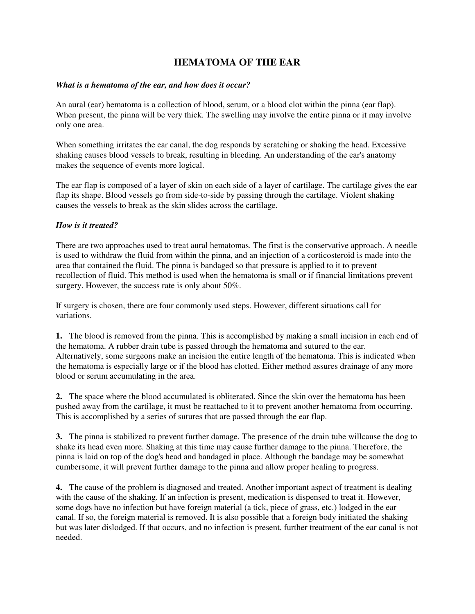## **HEMATOMA OF THE EAR**

## *What is a hematoma of the ear, and how does it occur?*

An aural (ear) hematoma is a collection of blood, serum, or a blood clot within the pinna (ear flap). When present, the pinna will be very thick. The swelling may involve the entire pinna or it may involve only one area.

When something irritates the ear canal, the dog responds by scratching or shaking the head. Excessive shaking causes blood vessels to break, resulting in bleeding. An understanding of the ear's anatomy makes the sequence of events more logical.

The ear flap is composed of a layer of skin on each side of a layer of cartilage. The cartilage gives the ear flap its shape. Blood vessels go from side-to-side by passing through the cartilage. Violent shaking causes the vessels to break as the skin slides across the cartilage.

## *How is it treated?*

There are two approaches used to treat aural hematomas. The first is the conservative approach. A needle is used to withdraw the fluid from within the pinna, and an injection of a corticosteroid is made into the area that contained the fluid. The pinna is bandaged so that pressure is applied to it to prevent recollection of fluid. This method is used when the hematoma is small or if financial limitations prevent surgery. However, the success rate is only about 50%.

If surgery is chosen, there are four commonly used steps. However, different situations call for variations.

**1.** The blood is removed from the pinna. This is accomplished by making a small incision in each end of the hematoma. A rubber drain tube is passed through the hematoma and sutured to the ear. Alternatively, some surgeons make an incision the entire length of the hematoma. This is indicated when the hematoma is especially large or if the blood has clotted. Either method assures drainage of any more blood or serum accumulating in the area.

**2.** The space where the blood accumulated is obliterated. Since the skin over the hematoma has been pushed away from the cartilage, it must be reattached to it to prevent another hematoma from occurring. This is accomplished by a series of sutures that are passed through the ear flap.

**3.** The pinna is stabilized to prevent further damage. The presence of the drain tube willcause the dog to shake its head even more. Shaking at this time may cause further damage to the pinna. Therefore, the pinna is laid on top of the dog's head and bandaged in place. Although the bandage may be somewhat cumbersome, it will prevent further damage to the pinna and allow proper healing to progress.

**4.** The cause of the problem is diagnosed and treated. Another important aspect of treatment is dealing with the cause of the shaking. If an infection is present, medication is dispensed to treat it. However, some dogs have no infection but have foreign material (a tick, piece of grass, etc.) lodged in the ear canal. If so, the foreign material is removed. It is also possible that a foreign body initiated the shaking but was later dislodged. If that occurs, and no infection is present, further treatment of the ear canal is not needed.